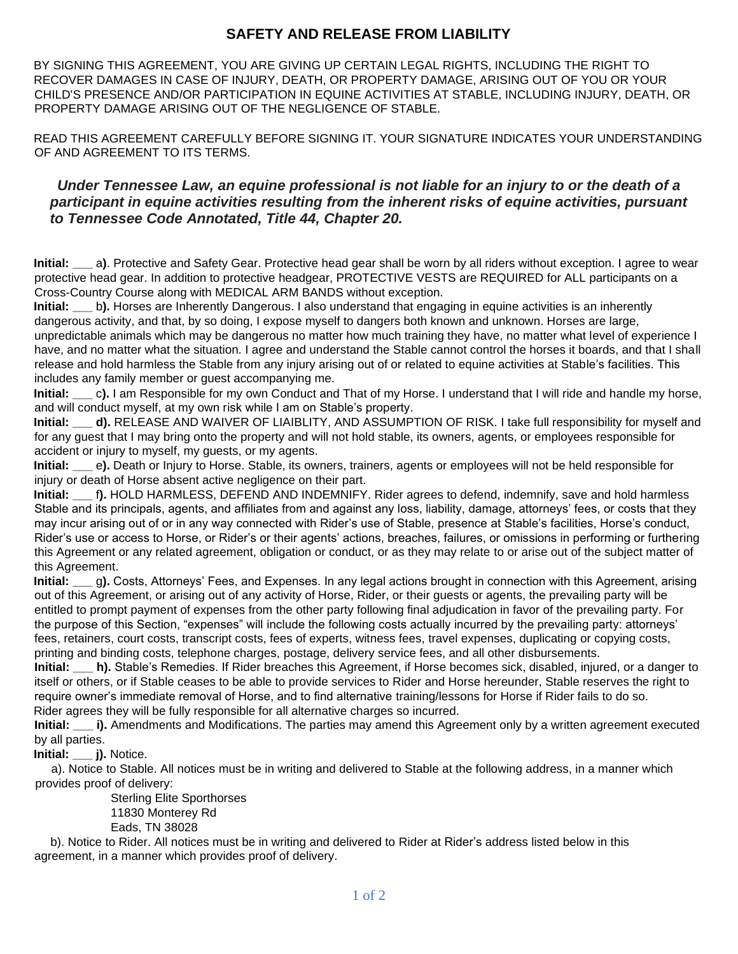## **SAFETY AND RELEASE FROM LIABILITY**

BY SIGNING THIS AGREEMENT, YOU ARE GIVING UP CERTAIN LEGAL RIGHTS, INCLUDING THE RIGHT TO RECOVER DAMAGES IN CASE OF INJURY, DEATH, OR PROPERTY DAMAGE, ARISING OUT OF YOU OR YOUR CHILD'S PRESENCE AND/OR PARTICIPATION IN EQUINE ACTIVITIES AT STABLE, INCLUDING INJURY, DEATH, OR PROPERTY DAMAGE ARISING OUT OF THE NEGLIGENCE OF STABLE.

READ THIS AGREEMENT CAREFULLY BEFORE SIGNING IT. YOUR SIGNATURE INDICATES YOUR UNDERSTANDING OF AND AGREEMENT TO ITS TERMS.

## *Under Tennessee Law, an equine professional is not liable for an injury to or the death of a participant in equine activities resulting from the inherent risks of equine activities, pursuant to Tennessee Code Annotated, Title 44, Chapter 20.*

**Initial: \_\_\_** a**)**. Protective and Safety Gear. Protective head gear shall be worn by all riders without exception. I agree to wear protective head gear. In addition to protective headgear, PROTECTIVE VESTS are REQUIRED for ALL participants on a Cross-Country Course along with MEDICAL ARM BANDS without exception.

**Initial:** b). Horses are Inherently Dangerous. I also understand that engaging in equine activities is an inherently dangerous activity, and that, by so doing, I expose myself to dangers both known and unknown. Horses are large, unpredictable animals which may be dangerous no matter how much training they have, no matter what level of experience I have, and no matter what the situation. I agree and understand the Stable cannot control the horses it boards, and that I shall release and hold harmless the Stable from any injury arising out of or related to equine activities at Stable's facilities. This includes any family member or guest accompanying me.

**Initial: \_\_\_** c**).** I am Responsible for my own Conduct and That of my Horse. I understand that I will ride and handle my horse, and will conduct myself, at my own risk while I am on Stable's property.

**Initial: d).** RELEASE AND WAIVER OF LIAIBLITY, AND ASSUMPTION OF RISK. I take full responsibility for myself and for any guest that I may bring onto the property and will not hold stable, its owners, agents, or employees responsible for accident or injury to myself, my guests, or my agents.

**Initial: \_\_\_** e**).** Death or Injury to Horse. Stable, its owners, trainers, agents or employees will not be held responsible for injury or death of Horse absent active negligence on their part.

**Initial: \_\_\_** f**).** HOLD HARMLESS, DEFEND AND INDEMNIFY. Rider agrees to defend, indemnify, save and hold harmless Stable and its principals, agents, and affiliates from and against any loss, liability, damage, attorneys' fees, or costs that they may incur arising out of or in any way connected with Rider's use of Stable, presence at Stable's facilities, Horse's conduct, Rider's use or access to Horse, or Rider's or their agents' actions, breaches, failures, or omissions in performing or furthering this Agreement or any related agreement, obligation or conduct, or as they may relate to or arise out of the subject matter of this Agreement.

**Initial: \_\_\_** g**).** Costs, Attorneys' Fees, and Expenses. In any legal actions brought in connection with this Agreement, arising out of this Agreement, or arising out of any activity of Horse, Rider, or their guests or agents, the prevailing party will be entitled to prompt payment of expenses from the other party following final adjudication in favor of the prevailing party. For the purpose of this Section, "expenses" will include the following costs actually incurred by the prevailing party: attorneys' fees, retainers, court costs, transcript costs, fees of experts, witness fees, travel expenses, duplicating or copying costs, printing and binding costs, telephone charges, postage, delivery service fees, and all other disbursements.

**Initial: \_\_\_ h).** Stable's Remedies. If Rider breaches this Agreement, if Horse becomes sick, disabled, injured, or a danger to itself or others, or if Stable ceases to be able to provide services to Rider and Horse hereunder, Stable reserves the right to require owner's immediate removal of Horse, and to find alternative training/lessons for Horse if Rider fails to do so. Rider agrees they will be fully responsible for all alternative charges so incurred.

**Initial: i).** Amendments and Modifications. The parties may amend this Agreement only by a written agreement executed by all parties.

**Initial: \_\_\_ j).** Notice.

 a). Notice to Stable. All notices must be in writing and delivered to Stable at the following address, in a manner which provides proof of delivery:

 Sterling Elite Sporthorses 11830 Monterey Rd Eads, TN 38028

 b). Notice to Rider. All notices must be in writing and delivered to Rider at Rider's address listed below in this agreement, in a manner which provides proof of delivery.